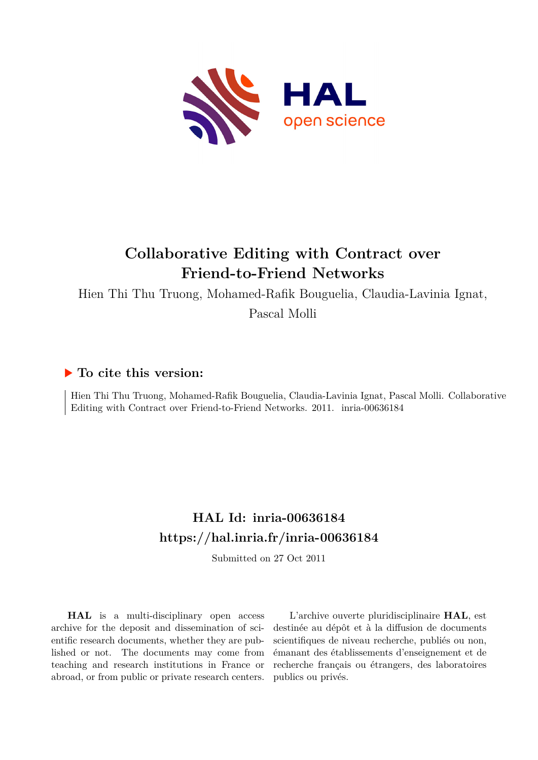

# **Collaborative Editing with Contract over Friend-to-Friend Networks**

Hien Thi Thu Truong, Mohamed-Rafik Bouguelia, Claudia-Lavinia Ignat,

Pascal Molli

### **To cite this version:**

Hien Thi Thu Truong, Mohamed-Rafik Bouguelia, Claudia-Lavinia Ignat, Pascal Molli. Collaborative Editing with Contract over Friend-to-Friend Networks. 2011. inria-00636184

## **HAL Id: inria-00636184 <https://hal.inria.fr/inria-00636184>**

Submitted on 27 Oct 2011

**HAL** is a multi-disciplinary open access archive for the deposit and dissemination of scientific research documents, whether they are published or not. The documents may come from teaching and research institutions in France or abroad, or from public or private research centers.

L'archive ouverte pluridisciplinaire **HAL**, est destinée au dépôt et à la diffusion de documents scientifiques de niveau recherche, publiés ou non, émanant des établissements d'enseignement et de recherche français ou étrangers, des laboratoires publics ou privés.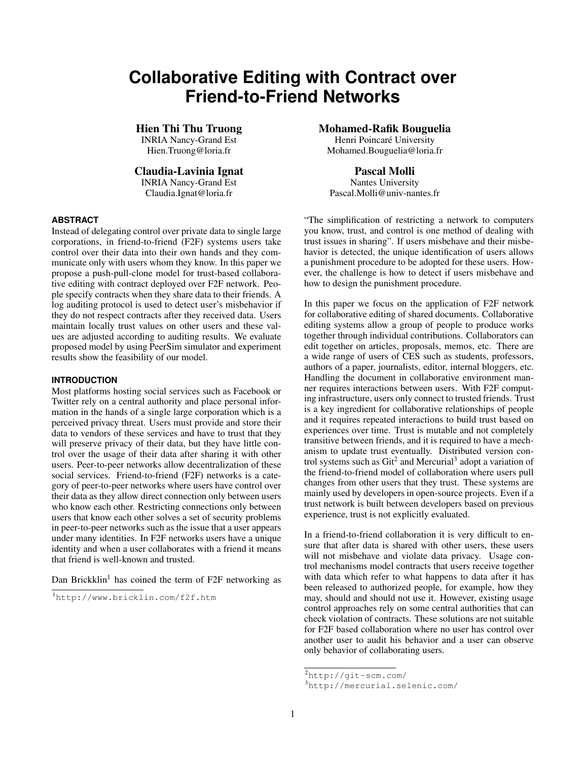## **Collaborative Editing with Contract over Friend-to-Friend Networks**

INRIA Nancy-Grand Est<br>Hien.Truong@loria.fr

## Claudia-Lavinia Ignat Pascal Molli

**INRIA Nancy-Grand Est** 

#### **ABSTRACT**

Instead of delegating control over private data to single large corporations, in friend-to-friend (F2F) systems users take control over their data into their own hands and they communicate only with users whom they know. In this paper we propose a push-pull-clone model for trust-based collaborative editing with contract deployed over F2F network. People specify contracts when they share data to their friends. A log auditing protocol is used to detect user's misbehavior if they do not respect contracts after they received data. Users maintain locally trust values on other users and these values are adjusted according to auditing results. We evaluate proposed model by using PeerSim simulator and experiment results show the feasibility of our model.

#### **INTRODUCTION**

Most platforms hosting social services such as Facebook or Twitter rely on a central authority and place personal information in the hands of a single large corporation which is a perceived privacy threat. Users must provide and store their data to vendors of these services and have to trust that they will preserve privacy of their data, but they have little control over the usage of their data after sharing it with other users. Peer-to-peer networks allow decentralization of these social services. Friend-to-friend (F2F) networks is a category of peer-to-peer networks where users have control over their data as they allow direct connection only between users who know each other. Restricting connections only between users that know each other solves a set of security problems in peer-to-peer networks such as the issue that a user appears under many identities. In F2F networks users have a unique identity and when a user collaborates with a friend it means that friend is well-known and trusted.

Dan Brickklin<sup>[1](#page-1-0)</sup> has coined the term of F2F networking as

**Hien Thi Thu Truong Mohamed-Rafik Bouguelia**<br>
INRIA Nancy-Grand Est **Mohamed-Rafik Bouguelia** 

Mohamed.Bouguelia@loria.fr

Claudia.Ignat@loria.fr Pascal.Molli@univ-nantes.fr

"The simplification of restricting a network to computers you know, trust, and control is one method of dealing with trust issues in sharing". If users misbehave and their misbehavior is detected, the unique identification of users allows a punishment procedure to be adopted for these users. However, the challenge is how to detect if users misbehave and how to design the punishment procedure.

In this paper we focus on the application of F2F network for collaborative editing of shared documents. Collaborative editing systems allow a group of people to produce works together through individual contributions. Collaborators can edit together on articles, proposals, memos, etc. There are a wide range of users of CES such as students, professors, authors of a paper, journalists, editor, internal bloggers, etc. Handling the document in collaborative environment manner requires interactions between users. With F2F computing infrastructure, users only connect to trusted friends. Trust is a key ingredient for collaborative relationships of people and it requires repeated interactions to build trust based on experiences over time. Trust is mutable and not completely transitive between friends, and it is required to have a mechanism to update trust eventually. Distributed version control systems such as  $\text{Git}^2$  $\text{Git}^2$  and Mercurial<sup>[3](#page-1-2)</sup> adopt a variation of the friend-to-friend model of collaboration where users pull changes from other users that they trust. These systems are mainly used by developers in open-source projects. Even if a trust network is built between developers based on previous experience, trust is not explicitly evaluated.

In a friend-to-friend collaboration it is very difficult to ensure that after data is shared with other users, these users will not misbehave and violate data privacy. Usage control mechanisms model contracts that users receive together with data which refer to what happens to data after it has been released to authorized people, for example, how they may, should and should not use it. However, existing usage control approaches rely on some central authorities that can check violation of contracts. These solutions are not suitable for F2F based collaboration where no user has control over another user to audit his behavior and a user can observe only behavior of collaborating users.

<span id="page-1-0"></span><sup>1</sup><http://www.bricklin.com/f2f.htm>

<span id="page-1-1"></span><sup>2</sup><http://git-scm.com/>

<span id="page-1-2"></span><sup>3</sup><http://mercurial.selenic.com/>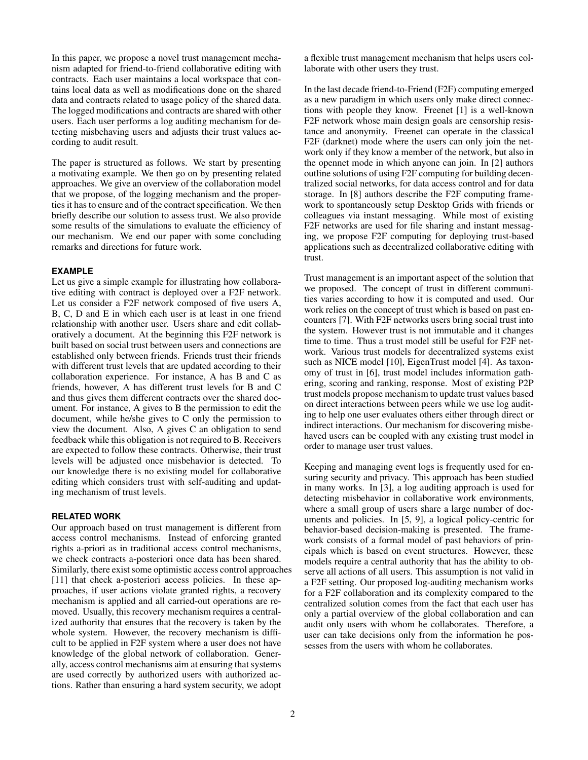In this paper, we propose a novel trust management mechanism adapted for friend-to-friend collaborative editing with contracts. Each user maintains a local workspace that contains local data as well as modifications done on the shared data and contracts related to usage policy of the shared data. The logged modifications and contracts are shared with other users. Each user performs a log auditing mechanism for detecting misbehaving users and adjusts their trust values according to audit result.

The paper is structured as follows. We start by presenting a motivating example. We then go on by presenting related approaches. We give an overview of the collaboration model that we propose, of the logging mechanism and the properties it has to ensure and of the contract specification. We then briefly describe our solution to assess trust. We also provide some results of the simulations to evaluate the efficiency of our mechanism. We end our paper with some concluding remarks and directions for future work.

#### **EXAMPLE**

Let us give a simple example for illustrating how collaborative editing with contract is deployed over a F2F network. Let us consider a F2F network composed of five users A, B, C, D and E in which each user is at least in one friend relationship with another user. Users share and edit collaboratively a document. At the beginning this F2F network is built based on social trust between users and connections are established only between friends. Friends trust their friends with different trust levels that are updated according to their collaboration experience. For instance, A has B and C as friends, however, A has different trust levels for B and C and thus gives them different contracts over the shared document. For instance, A gives to B the permission to edit the document, while he/she gives to C only the permission to view the document. Also, A gives C an obligation to send feedback while this obligation is not required to B. Receivers are expected to follow these contracts. Otherwise, their trust levels will be adjusted once misbehavior is detected. To our knowledge there is no existing model for collaborative editing which considers trust with self-auditing and updating mechanism of trust levels.

#### **RELATED WORK**

Our approach based on trust management is different from access control mechanisms. Instead of enforcing granted rights a-priori as in traditional access control mechanisms, we check contracts a-posteriori once data has been shared. Similarly, there exist some optimistic access control approaches [\[11\]](#page-6-0) that check a-posteriori access policies. In these approaches, if user actions violate granted rights, a recovery mechanism is applied and all carried-out operations are removed. Usually, this recovery mechanism requires a centralized authority that ensures that the recovery is taken by the whole system. However, the recovery mechanism is difficult to be applied in F2F system where a user does not have knowledge of the global network of collaboration. Generally, access control mechanisms aim at ensuring that systems are used correctly by authorized users with authorized actions. Rather than ensuring a hard system security, we adopt

a flexible trust management mechanism that helps users collaborate with other users they trust.

In the last decade friend-to-Friend (F2F) computing emerged as a new paradigm in which users only make direct connections with people they know. Freenet [\[1\]](#page-6-1) is a well-known F2F network whose main design goals are censorship resistance and anonymity. Freenet can operate in the classical F2F (darknet) mode where the users can only join the network only if they know a member of the network, but also in the opennet mode in which anyone can join. In [\[2\]](#page-6-2) authors outline solutions of using F2F computing for building decentralized social networks, for data access control and for data storage. In [\[8\]](#page-6-3) authors describe the F2F computing framework to spontaneously setup Desktop Grids with friends or colleagues via instant messaging. While most of existing F2F networks are used for file sharing and instant messaging, we propose F2F computing for deploying trust-based applications such as decentralized collaborative editing with trust.

Trust management is an important aspect of the solution that we proposed. The concept of trust in different communities varies according to how it is computed and used. Our work relies on the concept of trust which is based on past encounters [\[7\]](#page-6-4). With F2F networks users bring social trust into the system. However trust is not immutable and it changes time to time. Thus a trust model still be useful for F2F network. Various trust models for decentralized systems exist such as NICE model [\[10\]](#page-6-5), EigenTrust model [\[4\]](#page-6-6). As taxonomy of trust in [\[6\]](#page-6-7), trust model includes information gathering, scoring and ranking, response. Most of existing P2P trust models propose mechanism to update trust values based on direct interactions between peers while we use log auditing to help one user evaluates others either through direct or indirect interactions. Our mechanism for discovering misbehaved users can be coupled with any existing trust model in order to manage user trust values.

Keeping and managing event logs is frequently used for ensuring security and privacy. This approach has been studied in many works. In [\[3\]](#page-6-8), a log auditing approach is used for detecting misbehavior in collaborative work environments, where a small group of users share a large number of documents and policies. In [\[5,](#page-6-9) [9\]](#page-6-10), a logical policy-centric for behavior-based decision-making is presented. The framework consists of a formal model of past behaviors of principals which is based on event structures. However, these models require a central authority that has the ability to observe all actions of all users. This assumption is not valid in a F2F setting. Our proposed log-auditing mechanism works for a F2F collaboration and its complexity compared to the centralized solution comes from the fact that each user has only a partial overview of the global collaboration and can audit only users with whom he collaborates. Therefore, a user can take decisions only from the information he possesses from the users with whom he collaborates.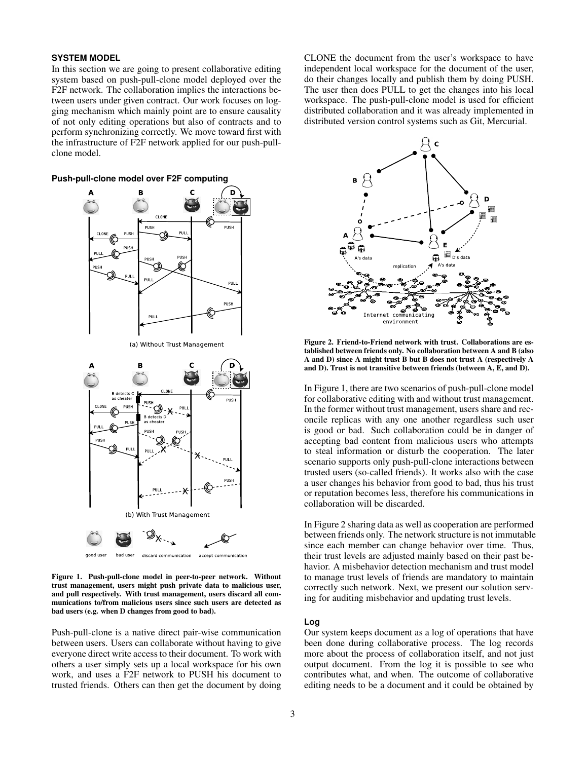#### **SYSTEM MODEL**

In this section we are going to present collaborative editing system based on push-pull-clone model deployed over the F2F network. The collaboration implies the interactions between users under given contract. Our work focuses on logging mechanism which mainly point are to ensure causality of not only editing operations but also of contracts and to perform synchronizing correctly. We move toward first with the infrastructure of F2F network applied for our push-pullclone model.





(a) Without Trust Management



<span id="page-3-0"></span>Figure 1. Push-pull-clone model in peer-to-peer network. Without trust management, users might push private data to malicious user, and pull respectively. With trust management, users discard all communications to/from malicious users since such users are detected as bad users (e.g. when D changes from good to bad).

Push-pull-clone is a native direct pair-wise communication between users. Users can collaborate without having to give everyone direct write access to their document. To work with others a user simply sets up a local workspace for his own work, and uses a F2F network to PUSH his document to trusted friends. Others can then get the document by doing CLONE the document from the user's workspace to have independent local workspace for the document of the user, do their changes locally and publish them by doing PUSH. The user then does PULL to get the changes into his local workspace. The push-pull-clone model is used for efficient distributed collaboration and it was already implemented in distributed version control systems such as Git, Mercurial.



<span id="page-3-1"></span>Figure 2. Friend-to-Friend network with trust. Collaborations are established between friends only. No collaboration between A and B (also A and D) since A might trust B but B does not trust A (respectively A and D). Trust is not transitive between friends (between A, E, and D).

In Figure [1,](#page-3-0) there are two scenarios of push-pull-clone model for collaborative editing with and without trust management. In the former without trust management, users share and reconcile replicas with any one another regardless such user is good or bad. Such collaboration could be in danger of accepting bad content from malicious users who attempts to steal information or disturb the cooperation. The later scenario supports only push-pull-clone interactions between trusted users (so-called friends). It works also with the case a user changes his behavior from good to bad, thus his trust or reputation becomes less, therefore his communications in collaboration will be discarded.

In Figure [2](#page-3-1) sharing data as well as cooperation are performed between friends only. The network structure is not immutable since each member can change behavior over time. Thus, their trust levels are adjusted mainly based on their past behavior. A misbehavior detection mechanism and trust model to manage trust levels of friends are mandatory to maintain correctly such network. Next, we present our solution serving for auditing misbehavior and updating trust levels.

### **Log**

Our system keeps document as a log of operations that have been done during collaborative process. The log records more about the process of collaboration itself, and not just output document. From the log it is possible to see who contributes what, and when. The outcome of collaborative editing needs to be a document and it could be obtained by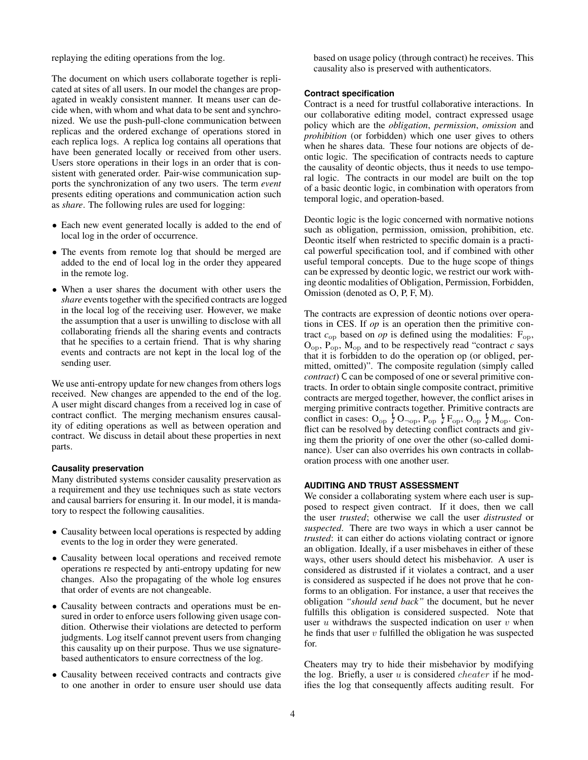replaying the editing operations from the log.

The document on which users collaborate together is replicated at sites of all users. In our model the changes are propagated in weakly consistent manner. It means user can decide when, with whom and what data to be sent and synchronized. We use the push-pull-clone communication between replicas and the ordered exchange of operations stored in each replica logs. A replica log contains all operations that have been generated locally or received from other users. Users store operations in their logs in an order that is consistent with generated order. Pair-wise communication supports the synchronization of any two users. The term *event* presents editing operations and communication action such as *share*. The following rules are used for logging:

- Each new event generated locally is added to the end of local log in the order of occurrence.
- The events from remote log that should be merged are added to the end of local log in the order they appeared in the remote log.
- When a user shares the document with other users the *share* events together with the specified contracts are logged in the local log of the receiving user. However, we make the assumption that a user is unwilling to disclose with all collaborating friends all the sharing events and contracts that he specifies to a certain friend. That is why sharing events and contracts are not kept in the local log of the sending user.

We use anti-entropy update for new changes from others logs received. New changes are appended to the end of the log. A user might discard changes from a received log in case of contract conflict. The merging mechanism ensures causality of editing operations as well as between operation and contract. We discuss in detail about these properties in next parts.

#### **Causality preservation**

Many distributed systems consider causality preservation as a requirement and they use techniques such as state vectors and causal barriers for ensuring it. In our model, it is mandatory to respect the following causalities.

- Causality between local operations is respected by adding events to the log in order they were generated.
- Causality between local operations and received remote operations re respected by anti-entropy updating for new changes. Also the propagating of the whole log ensures that order of events are not changeable.
- Causality between contracts and operations must be ensured in order to enforce users following given usage condition. Otherwise their violations are detected to perform judgments. Log itself cannot prevent users from changing this causality up on their purpose. Thus we use signaturebased authenticators to ensure correctness of the log.
- Causality between received contracts and contracts give to one another in order to ensure user should use data

based on usage policy (through contract) he receives. This causality also is preserved with authenticators.

#### **Contract specification**

Contract is a need for trustful collaborative interactions. In our collaborative editing model, contract expressed usage policy which are the *obligation*, *permission*, *omission* and *prohibition* (or forbidden) which one user gives to others when he shares data. These four notions are objects of deontic logic. The specification of contracts needs to capture the causality of deontic objects, thus it needs to use temporal logic. The contracts in our model are built on the top of a basic deontic logic, in combination with operators from temporal logic, and operation-based.

Deontic logic is the logic concerned with normative notions such as obligation, permission, omission, prohibition, etc. Deontic itself when restricted to specific domain is a practical powerful specification tool, and if combined with other useful temporal concepts. Due to the huge scope of things can be expressed by deontic logic, we restrict our work withing deontic modalities of Obligation, Permission, Forbidden, Omission (denoted as O, P, F, M).

The contracts are expression of deontic notions over operations in CES. If *op* is an operation then the primitive contract  $c_{op}$  based on *op* is defined using the modalities:  $F_{op}$ ,  $O<sub>op</sub>$ ,  $P<sub>op</sub>$ ,  $M<sub>op</sub>$  and to be respectively read "contract *c* says that it is forbidden to do the operation op (or obliged, permitted, omitted)". The composite regulation (simply called *contract*) C can be composed of one or several primitive contracts. In order to obtain single composite contract, primitive contracts are merged together, however, the conflict arises in merging primitive contracts together. Primitive contracts are conflict in cases:  $O_{op} \nvert O_{op}$ ,  $P_{op} \nvert P_{op}$ ,  $O_{op} \nvert M_{op}$ . Conflict can be resolved by detecting conflict contracts and giving them the priority of one over the other (so-called dominance). User can also overrides his own contracts in collaboration process with one another user.

#### **AUDITING AND TRUST ASSESSMENT**

We consider a collaborating system where each user is supposed to respect given contract. If it does, then we call the user *trusted*; otherwise we call the user *distrusted* or *suspected*. There are two ways in which a user cannot be *trusted*: it can either do actions violating contract or ignore an obligation. Ideally, if a user misbehaves in either of these ways, other users should detect his misbehavior. A user is considered as distrusted if it violates a contract, and a user is considered as suspected if he does not prove that he conforms to an obligation. For instance, a user that receives the obligation *"should send back"* the document, but he never fulfills this obligation is considered suspected. Note that user  $u$  withdraws the suspected indication on user  $v$  when he finds that user  $v$  fulfilled the obligation he was suspected for.

Cheaters may try to hide their misbehavior by modifying the log. Briefly, a user  $u$  is considered *cheater* if he modifies the log that consequently affects auditing result. For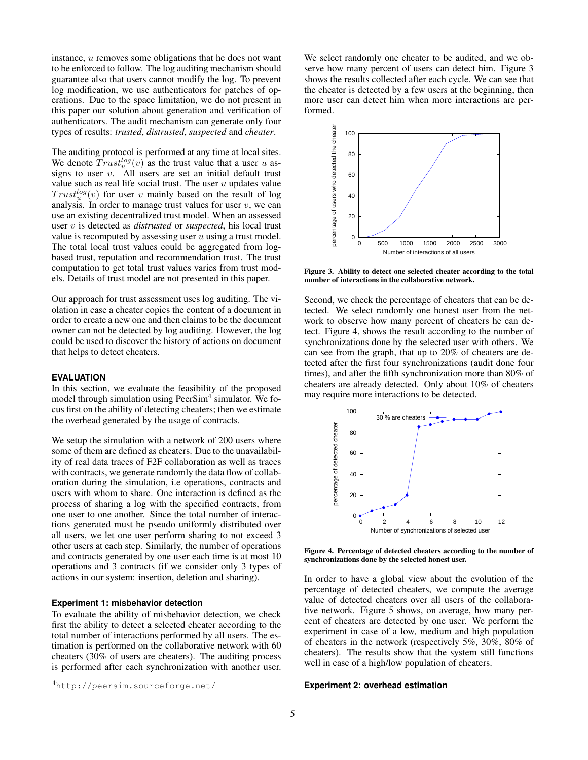instance, u removes some obligations that he does not want to be enforced to follow. The log auditing mechanism should guarantee also that users cannot modify the log. To prevent log modification, we use authenticators for patches of operations. Due to the space limitation, we do not present in this paper our solution about generation and verification of authenticators. The audit mechanism can generate only four types of results: *trusted*, *distrusted*, *suspected* and *cheater*.

The auditing protocol is performed at any time at local sites. We denote  $Trust_u^{log}(v)$  as the trust value that a user u assigns to user  $v$ . All users are set an initial default trust value such as real life social trust. The user  $u$  updates value  $Trust<sub>u</sub><sup>log</sup>(v)$  for user v mainly based on the result of log analysis. In order to manage trust values for user  $v$ , we can use an existing decentralized trust model. When an assessed user v is detected as *distrusted* or *suspected*, his local trust value is recomputed by assessing user  $u$  using a trust model. The total local trust values could be aggregated from logbased trust, reputation and recommendation trust. The trust computation to get total trust values varies from trust models. Details of trust model are not presented in this paper.

Our approach for trust assessment uses log auditing. The violation in case a cheater copies the content of a document in order to create a new one and then claims to be the document owner can not be detected by log auditing. However, the log could be used to discover the history of actions on document that helps to detect cheaters.

#### **EVALUATION**

In this section, we evaluate the feasibility of the proposed model through simulation using PeerSim<sup>[4](#page-5-0)</sup> simulator. We focus first on the ability of detecting cheaters; then we estimate the overhead generated by the usage of contracts.

We setup the simulation with a network of 200 users where some of them are defined as cheaters. Due to the unavailability of real data traces of F2F collaboration as well as traces with contracts, we generate randomly the data flow of collaboration during the simulation, i.e operations, contracts and users with whom to share. One interaction is defined as the process of sharing a log with the specified contracts, from one user to one another. Since the total number of interactions generated must be pseudo uniformly distributed over all users, we let one user perform sharing to not exceed 3 other users at each step. Similarly, the number of operations and contracts generated by one user each time is at most 10 operations and 3 contracts (if we consider only 3 types of actions in our system: insertion, deletion and sharing).

#### **Experiment 1: misbehavior detection**

To evaluate the ability of misbehavior detection, we check first the ability to detect a selected cheater according to the total number of interactions performed by all users. The estimation is performed on the collaborative network with 60 cheaters (30% of users are cheaters). The auditing process is performed after each synchronization with another user.

We select randomly one cheater to be audited, and we observe how many percent of users can detect him. Figure [3](#page-5-1) shows the results collected after each cycle. We can see that the cheater is detected by a few users at the beginning, then more user can detect him when more interactions are performed.



<span id="page-5-1"></span>Figure 3. Ability to detect one selected cheater according to the total number of interactions in the collaborative network.

Second, we check the percentage of cheaters that can be detected. We select randomly one honest user from the network to observe how many percent of cheaters he can detect. Figure [4,](#page-5-2) shows the result according to the number of synchronizations done by the selected user with others. We can see from the graph, that up to 20% of cheaters are detected after the first four synchronizations (audit done four times), and after the fifth synchronization more than 80% of cheaters are already detected. Only about 10% of cheaters may require more interactions to be detected.



<span id="page-5-2"></span>Figure 4. Percentage of detected cheaters according to the number of synchronizations done by the selected honest user.

In order to have a global view about the evolution of the percentage of detected cheaters, we compute the average value of detected cheaters over all users of the collaborative network. Figure [5](#page-6-11) shows, on average, how many percent of cheaters are detected by one user. We perform the experiment in case of a low, medium and high population of cheaters in the network (respectively 5%, 30%, 80% of cheaters). The results show that the system still functions well in case of a high/low population of cheaters.

### **Experiment 2: overhead estimation**

<span id="page-5-0"></span><sup>4</sup><http://peersim.sourceforge.net/>